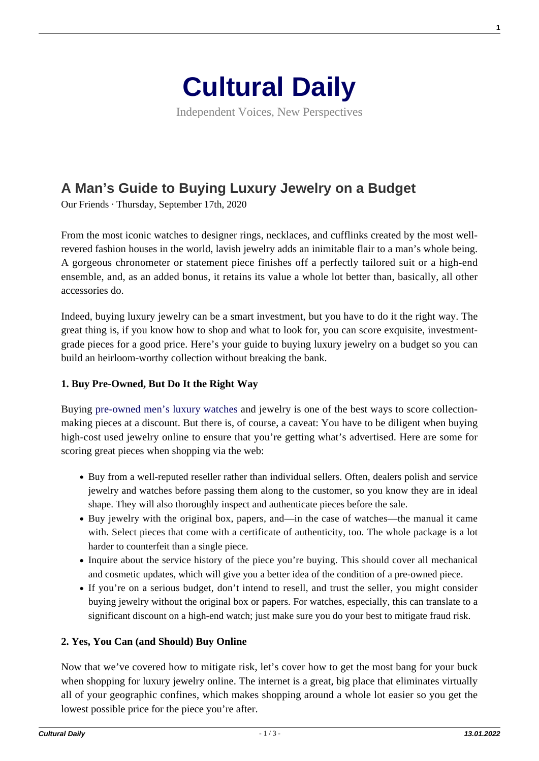

Independent Voices, New Perspectives

# **[A Man's Guide to Buying Luxury Jewelry on a Budget](https://culturaldaily.com/a-mans-guide-to-buying-luxury-jewelry-on-a-budget/)**

Our Friends · Thursday, September 17th, 2020

From the most iconic watches to designer rings, necklaces, and cufflinks created by the most wellrevered fashion houses in the world, lavish jewelry adds an inimitable flair to a man's whole being. A gorgeous chronometer or statement piece finishes off a perfectly tailored suit or a high-end ensemble, and, as an added bonus, it retains its value a whole lot better than, basically, all other accessories do.

Indeed, buying luxury jewelry can be a smart investment, but you have to do it the right way. The great thing is, if you know how to shop and what to look for, you can score exquisite, investmentgrade pieces for a good price. Here's your guide to buying luxury jewelry on a budget so you can build an heirloom-worthy collection without breaking the bank.

## **1. Buy Pre-Owned, But Do It the Right Way**

Buying [pre-owned men's luxury watches](https://www.luxuryofwatches.com/) and jewelry is one of the best ways to score collectionmaking pieces at a discount. But there is, of course, a caveat: You have to be diligent when buying high-cost used jewelry online to ensure that you're getting what's advertised. Here are some for scoring great pieces when shopping via the web:

- Buy from a well-reputed reseller rather than individual sellers. Often, dealers polish and service jewelry and watches before passing them along to the customer, so you know they are in ideal shape. They will also thoroughly inspect and authenticate pieces before the sale.
- Buy jewelry with the original box, papers, and—in the case of watches—the manual it came with. Select pieces that come with a certificate of authenticity, too. The whole package is a lot harder to counterfeit than a single piece.
- Inquire about the service history of the piece you're buying. This should cover all mechanical and cosmetic updates, which will give you a better idea of the condition of a pre-owned piece.
- If you're on a serious budget, don't intend to resell, and trust the seller, you might consider buying jewelry without the original box or papers. For watches, especially, this can translate to a significant discount on a high-end watch; just make sure you do your best to mitigate fraud risk.

## **2. Yes, You Can (and Should) Buy Online**

Now that we've covered how to mitigate risk, let's cover how to get the most bang for your buck when shopping for luxury jewelry online. The internet is a great, big place that eliminates virtually all of your geographic confines, which makes shopping around a whole lot easier so you get the lowest possible price for the piece you're after.

**1**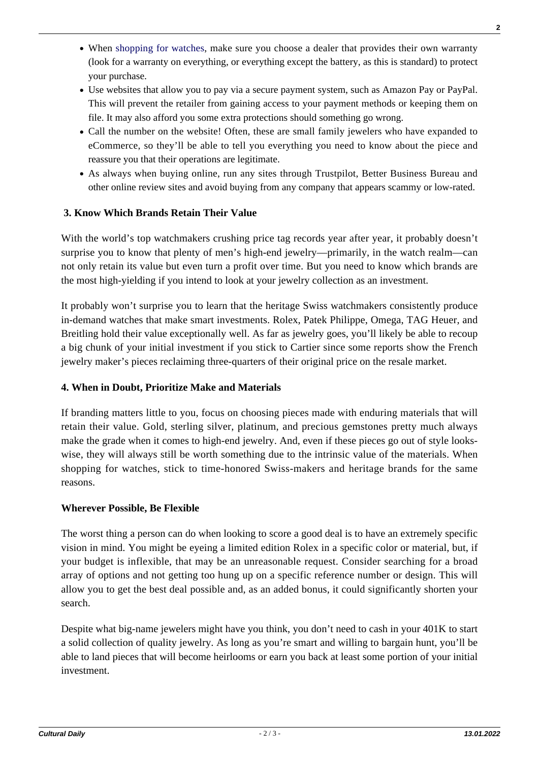- Use websites that allow you to pay via a secure payment system, such as Amazon Pay or PayPal. This will prevent the retailer from gaining access to your payment methods or keeping them on file. It may also afford you some extra protections should something go wrong.
- Call the number on the website! Often, these are small family jewelers who have expanded to eCommerce, so they'll be able to tell you everything you need to know about the piece and reassure you that their operations are legitimate.
- As always when buying online, run any sites through Trustpilot, Better Business Bureau and other online review sites and avoid buying from any company that appears scammy or low-rated.

# **3. Know Which Brands Retain Their Value**

With the world's top watchmakers crushing price tag records year after year, it probably doesn't surprise you to know that plenty of men's high-end jewelry—primarily, in the watch realm—can not only retain its value but even turn a profit over time. But you need to know which brands are the most high-yielding if you intend to look at your jewelry collection as an investment.

It probably won't surprise you to learn that the heritage Swiss watchmakers consistently produce in-demand watches that make smart investments. Rolex, Patek Philippe, Omega, TAG Heuer, and Breitling hold their value exceptionally well. As far as jewelry goes, you'll likely be able to recoup a big chunk of your initial investment if you stick to Cartier since some reports show the French jewelry maker's pieces reclaiming three-quarters of their original price on the resale market.

# **4. When in Doubt, Prioritize Make and Materials**

If branding matters little to you, focus on choosing pieces made with enduring materials that will retain their value. Gold, sterling silver, platinum, and precious gemstones pretty much always make the grade when it comes to high-end jewelry. And, even if these pieces go out of style lookswise, they will always still be worth something due to the intrinsic value of the materials. When shopping for watches, stick to time-honored Swiss-makers and heritage brands for the same reasons.

## **Wherever Possible, Be Flexible**

The worst thing a person can do when looking to score a good deal is to have an extremely specific vision in mind. You might be eyeing a limited edition Rolex in a specific color or material, but, if your budget is inflexible, that may be an unreasonable request. Consider searching for a broad array of options and not getting too hung up on a specific reference number or design. This will allow you to get the best deal possible and, as an added bonus, it could significantly shorten your search.

Despite what big-name jewelers might have you think, you don't need to cash in your 401K to start a solid collection of quality jewelry. As long as you're smart and willing to bargain hunt, you'll be able to land pieces that will become heirlooms or earn you back at least some portion of your initial investment.